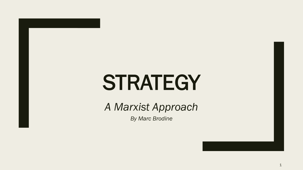# **STRATEGY**

*A Marxist Approach*

*By Marc Brodine*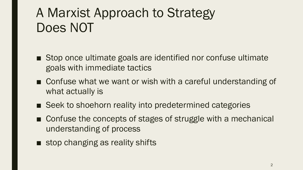## A Marxist Approach to Strategy Does NOT

- Stop once ultimate goals are identified nor confuse ultimate goals with immediate tactics
- Confuse what we want or wish with a careful understanding of what actually is
- Seek to shoehorn reality into predetermined categories
- Confuse the concepts of stages of struggle with a mechanical understanding of process
- stop changing as reality shifts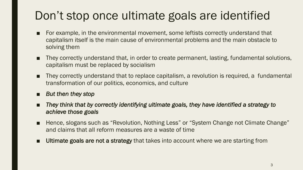### Don't stop once ultimate goals are identified

- For example, in the environmental movement, some leftists correctly understand that capitalism itself is the main cause of environmental problems and the main obstacle to solving them
- They correctly understand that, in order to create permanent, lasting, fundamental solutions, capitalism must be replaced by socialism
- They correctly understand that to replace capitalism, a revolution is required, a fundamental transformation of our politics, economics, and culture
- *But then they stop*
- *They think that by correctly identifying ultimate goals, they have identified a strategy to achieve those goals*
- Hence, slogans such as "Revolution, Nothing Less" or "System Change not Climate Change" and claims that all reform measures are a waste of time
- Ultimate goals are not a strategy that takes into account where we are starting from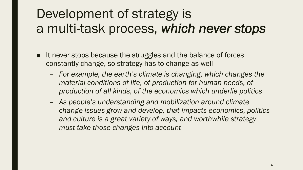## Development of strategy is a multi-task process, *which never stops*

- It never stops because the struggles and the balance of forces constantly change, so strategy has to change as well
	- *For example, the earth's climate is changing, which changes the material conditions of life, of production for human needs, of production of all kinds, of the economics which underlie politics*
	- *As people's understanding and mobilization around climate change issues grow and develop, that impacts economics, politics and culture is a great variety of ways, and worthwhile strategy must take those changes into account*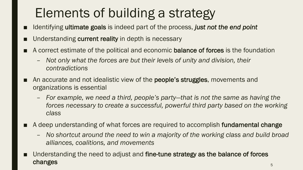# Elements of building a strategy

- Identifying ultimate goals is indeed part of the process, *just not the end point*
- Understanding current reality in depth is necessary
- A correct estimate of the political and economic **balance of forces** is the foundation
	- *Not only what the forces are but their levels of unity and division, their contradictions*
- An accurate and not idealistic view of the **people's struggles**, movements and organizations is essential
	- *For example, we need a third, people's party—that is not the same as having the*  forces necessary to create a successful, powerful third party based on the working *class*
- A deep understanding of what forces are required to accomplish fundamental change
	- *No shortcut around the need to win a majority of the working class and build broad alliances, coalitions, and movements*
- Understanding the need to adjust and fine-tune strategy as the balance of forces  $\mathsf{changes} \leftarrow \mathsf{S}$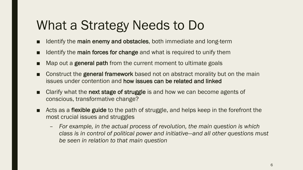## What a Strategy Needs to Do

- Identify the main enemy and obstacles, both immediate and long-term
- Identify the main forces for change and what is required to unify them
- Map out a **general path** from the current moment to ultimate goals
- Construct the general framework based not on abstract morality but on the main issues under contention and how issues can be related and linked
- Clarify what the next stage of struggle is and how we can become agents of conscious, transformative change?
- Acts as a flexible guide to the path of struggle, and helps keep in the forefront the most crucial issues and struggles
	- *For example, in the actual process of revolution, the main question is which class is in control of political power and initiative—and all other questions must be seen in relation to that main question*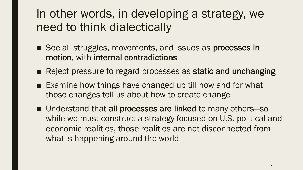#### In other words, in developing a strategy, we need to think dialectically

- See all struggles, movements, and issues as processes in motion, with internal contradictions
- Reject pressure to regard processes as static and unchanging
- Examine how things have changed up till now and for what those changes tell us about how to create change
- Understand that all processes are linked to many others-so while we must construct a strategy focused on U.S. political and economic realities, those realities are not disconnected from what is happening around the world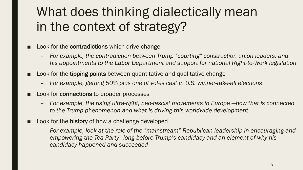## What does thinking dialectically mean in the context of strategy?

- Look for the contradictions which drive change
	- *For example, the contradiction between Trump "courting" construction union leaders, and his appointments to the Labor Department and support for national Right-to-Work legislation*
- Look for the tipping points between quantitative and qualitative change
	- *For example, getting 50% plus one of votes cast in U.S. winner-take-all elections*
- Look for **connections** to broader processes
	- *For example, the rising ultra-right, neo-fascist movements in Europe —how that is connected to the Trump phenomenon and what is driving this worldwide development*
- Look for the history of how a challenge developed
	- *For example, look at the role of the "mainstream" Republican leadership in encouraging and empowering the Tea Party—long before Trump's candidacy and an element of why his candidacy happened and succeeded*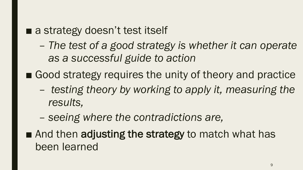#### ■ a strategy doesn't test itself

- *The test of a good strategy is whether it can operate as a successful guide to action*
- Good strategy requires the unity of theory and practice
	- *testing theory by working to apply it, measuring the results,*
	- *seeing where the contradictions are,*
- And then adjusting the strategy to match what has been learned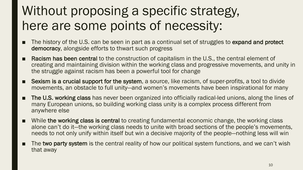## Without proposing a specific strategy, here are some points of necessity:

- The history of the U.S. can be seen in part as a continual set of struggles to expand and protect democracy, alongside efforts to thwart such progress
- **Racism has been central** to the construction of capitalism in the U.S., the central element of creating and maintaining division within the working class and progressive movements, and unity in the struggle against racism has been a powerful tool for change
- **Sexism is a crucial support for the system**, a source, like racism, of super-profits, a tool to divide movements, an obstacle to full unity—and women's movements have been inspirational for many
- The U.S. working class has never been organized into officially radical-led unions, along the lines of many European unions, so building working class unity is a complex process different from anywhere else
- While the working class is central to creating fundamental economic change, the working class alone can't do it—the working class needs to unite with broad sections of the people's movements, needs to not only unify within itself but win a decisive majority of the people—nothing less will win
- The two party system is the central reality of how our political system functions, and we can't wish that away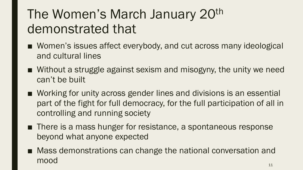## The Women's March January 20<sup>th</sup> demonstrated that

- Women's issues affect everybody, and cut across many ideological and cultural lines
- Without a struggle against sexism and misogyny, the unity we need can't be built
- Working for unity across gender lines and divisions is an essential part of the fight for full democracy, for the full participation of all in controlling and running society
- There is a mass hunger for resistance, a spontaneous response beyond what anyone expected
- Mass demonstrations can change the national conversation and mood 11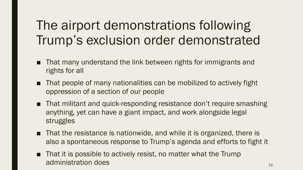## The airport demonstrations following Trump's exclusion order demonstrated

- That many understand the link between rights for immigrants and rights for all
- That people of many nationalities can be mobilized to actively fight oppression of a section of our people
- That militant and quick-responding resistance don't require smashing anything, yet can have a giant impact, and work alongside legal struggles
- That the resistance is nationwide, and while it is organized, there is also a spontaneous response to Trump's agenda and efforts to fight it
- That it is possible to actively resist, no matter what the Trump administration does and the set of the set of the set of the set of the set of the set of the set of the set o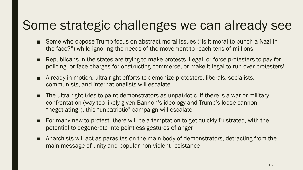## Some strategic challenges we can already see

- Some who oppose Trump focus on abstract moral issues ("is it moral to punch a Nazi in the face?") while ignoring the needs of the movement to reach tens of millions
- Republicans in the states are trying to make protests illegal, or force protesters to pay for policing, or face charges for obstructing commerce, or make it legal to run over protesters!
- Already in motion, ultra-right efforts to demonize protesters, liberals, socialists, communists, and internationalists will escalate
- The ultra-right tries to paint demonstrators as unpatriotic. If there is a war or military confrontation (way too likely given Bannon's ideology and Trump's loose-cannon "negotiating"), this "unpatriotic" campaign will escalate
- For many new to protest, there will be a temptation to get quickly frustrated, with the potential to degenerate into pointless gestures of anger
- Anarchists will act as parasites on the main body of demonstrators, detracting from the main message of unity and popular non-violent resistance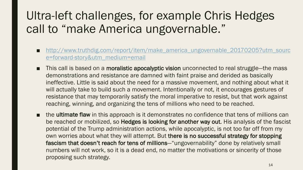### Ultra-left challenges, for example Chris Hedges call to "make America ungovernable."

- http://www.truthdig.com/report/item/make\_america\_ungovernable\_20170205?utm\_sourc e=forward-story&utm\_medium=email
- This call is based on a moralistic apocalyptic vision unconnected to real struggle—the mass demonstrations and resistance are damned with faint praise and derided as basically ineffective. Little is said about the need for a massive movement, and nothing about what it will actually take to build such a movement. Intentionally or not, it encourages gestures of resistance that may temporarily satisfy the moral imperative to resist, but that work against reaching, winning, and organizing the tens of millions who need to be reached.
- the ultimate flaw in this approach is it demonstrates no confidence that tens of millions can be reached or mobilized, so **Hedges is looking for another way out**. His analysis of the fascist potential of the Trump administration actions, while apocalyptic, is not too far off from my own worries about what they will attempt. But there is no successful strategy for stopping fascism that doesn't reach for tens of millions—"ungovernability" done by relatively small numbers will not work, so it is a dead end, no matter the motivations or sincerity of those proposing such strategy.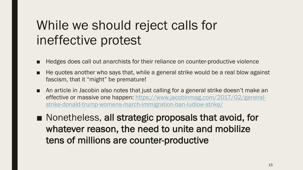## While we should reject calls for ineffective protest

- Hedges does call out anarchists for their reliance on counter-productive violence
- He quotes another who says that, while a general strike would be a real blow against fascism, that it "might" be premature!
- An article in Jacobin also notes that just calling for a general strike doesn't make an effective or massive one happen: https://www.jacobinmag.com/2017/02/generalstrike-donald-trump-womens-march-immigration-ban-ludlow-strike/

■ Nonetheless, all strategic proposals that avoid, for whatever reason, the need to unite and mobilize tens of millions are counter-productive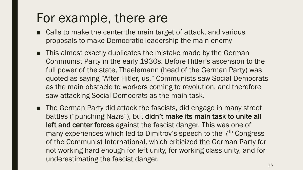#### For example, there are

- Calls to make the center the main target of attack, and various proposals to make Democratic leadership the main enemy
- This almost exactly duplicates the mistake made by the German Communist Party in the early 1930s. Before Hitler's ascension to the full power of the state, Thaelemann (head of the German Party) was quoted as saying "After Hitler, us." Communists saw Social Democrats as the main obstacle to workers coming to revolution, and therefore saw attacking Social Democrats as the main task.
- The German Party did attack the fascists, did engage in many street battles ("punching Nazis"), but didn't make its main task to unite all left and center forces against the fascist danger. This was one of many experiences which led to Dimitrov's speech to the 7<sup>th</sup> Congress of the Communist International, which criticized the German Party for not working hard enough for left unity, for working class unity, and for underestimating the fascist danger.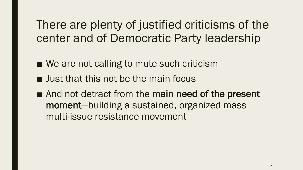There are plenty of justified criticisms of the center and of Democratic Party leadership

- We are not calling to mute such criticism
- Just that this not be the main focus
- And not detract from the main need of the present moment—building a sustained, organized mass multi-issue resistance movement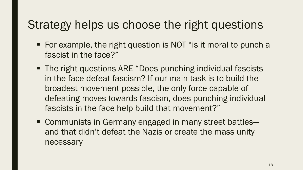#### Strategy helps us choose the right questions

- For example, the right question is NOT "is it moral to punch a fascist in the face?"
- The right questions ARE "Does punching individual fascists in the face defeat fascism? If our main task is to build the broadest movement possible, the only force capable of defeating moves towards fascism, does punching individual fascists in the face help build that movement?"
- Communists in Germany engaged in many street battles and that didn't defeat the Nazis or create the mass unity necessary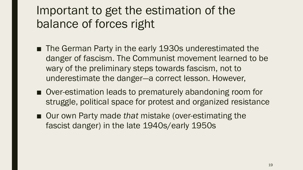#### Important to get the estimation of the balance of forces right

- The German Party in the early 1930s underestimated the danger of fascism. The Communist movement learned to be wary of the preliminary steps towards fascism, not to underestimate the danger—a correct lesson. However,
- Over-estimation leads to prematurely abandoning room for struggle, political space for protest and organized resistance
- Our own Party made *that* mistake (over-estimating the fascist danger) in the late 1940s/early 1950s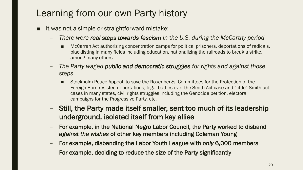#### Learning from our own Party history

- It was not a simple or straightforward mistake:
	- *There were real steps towards fascism in the U.S. during the McCarthy period*
		- McCarren Act authorizing concentration camps for political prisoners, deportations of radicals, blacklisting in many fields including education, nationalizing the railroads to break a strike, among many others
	- *The Party waged public and democratic struggles for rights and against those steps*
		- Stockholm Peace Appeal, to save the Rosenbergs, Committees for the Protection of the Foreign Born resisted deportations, legal battles over the Smith Act case and "little" Smith act cases in many states, civil rights struggles including the Genocide petition, electoral campaigns for the Progressive Party, etc.
	- Still, the Party made itself smaller, sent too much of its leadership underground, isolated itself from key allies
	- For example, in the National Negro Labor Council, the Party worked to disband *against the wishes* of other key members including Coleman Young
	- For example, disbanding the Labor Youth League with *only* 6,000 members
	- For example, deciding to reduce the size of the Party significantly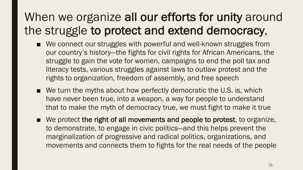### When we organize all our efforts for unity around the struggle to protect and extend democracy,

- We connect our struggles with powerful and well-known struggles from our country's history—the fights for civil rights for African Americans, the struggle to gain the vote for women, campaigns to end the poll tax and literacy tests, various struggles against laws to outlaw protest and the rights to organization, freedom of assembly, and free speech
- We turn the myths about how perfectly democratic the U.S. is, which have never been true, into a weapon, a way for people to understand that to make the myth of democracy true, we must fight to make it true
- We protect the right of all movements and people to protest, to organize, to demonstrate, to engage in civic politics—and this helps prevent the marginalization of progressive and radical politics, organizations, and movements and connects them to fights for the real needs of the people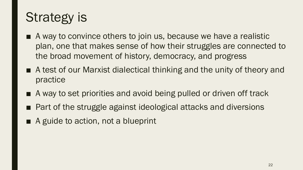## Strategy is

- A way to convince others to join us, because we have a realistic plan, one that makes sense of how their struggles are connected to the broad movement of history, democracy, and progress
- A test of our Marxist dialectical thinking and the unity of theory and practice
- A way to set priorities and avoid being pulled or driven off track
- Part of the struggle against ideological attacks and diversions
- A guide to action, not a blueprint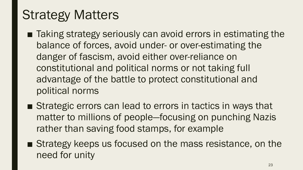## Strategy Matters

- Taking strategy seriously can avoid errors in estimating the balance of forces, avoid under- or over-estimating the danger of fascism, avoid either over-reliance on constitutional and political norms or not taking full advantage of the battle to protect constitutional and political norms
- Strategic errors can lead to errors in tactics in ways that matter to millions of people—focusing on punching Nazis rather than saving food stamps, for example
- Strategy keeps us focused on the mass resistance, on the need for unity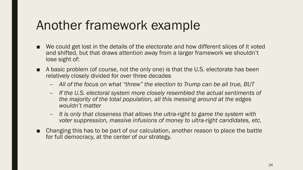#### Another framework example

- We could get lost in the details of the electorate and how different slices of it voted and shifted, but that draws attention away from a larger framework we shouldn't lose sight of:
- A basic problem (of course, not the only one) is that the U.S. electorate has been relatively closely divided for over three decades
	- *All of the focus on what "threw" the election to Trump can be all true, BUT*
	- *If the U.S. electoral system more closely resembled the actual sentiments of the majority of the total population, all this messing around at the edges wouldn't matter*
	- *It is only that closeness that allows the ultra-right to game the system with voter suppression, massive infusions of money to ultra-right candidates, etc.*
- Changing this has to be part of our calculation, another reason to place the battle for full democracy, at the center of our strategy.